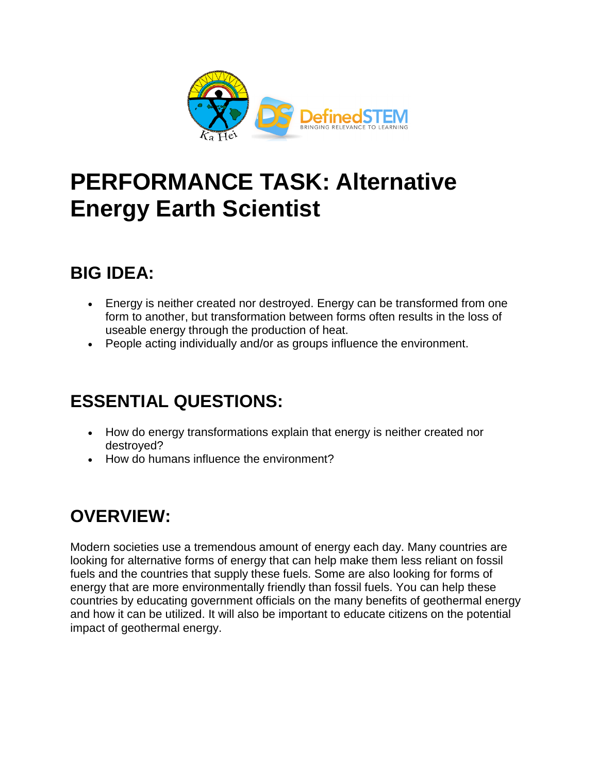

# **PERFORMANCE TASK: Alternative Energy Earth Scientist**

### **BIG IDEA:**

- Energy is neither created nor destroyed. Energy can be transformed from one form to another, but transformation between forms often results in the loss of useable energy through the production of heat.
- People acting individually and/or as groups influence the environment.

### **ESSENTIAL QUESTIONS:**

- How do energy transformations explain that energy is neither created nor destroyed?
- How do humans influence the environment?

# **OVERVIEW:**

Modern societies use a tremendous amount of energy each day. Many countries are looking for alternative forms of energy that can help make them less reliant on fossil fuels and the countries that supply these fuels. Some are also looking for forms of energy that are more environmentally friendly than fossil fuels. You can help these countries by educating government officials on the many benefits of geothermal energy and how it can be utilized. It will also be important to educate citizens on the potential impact of geothermal energy.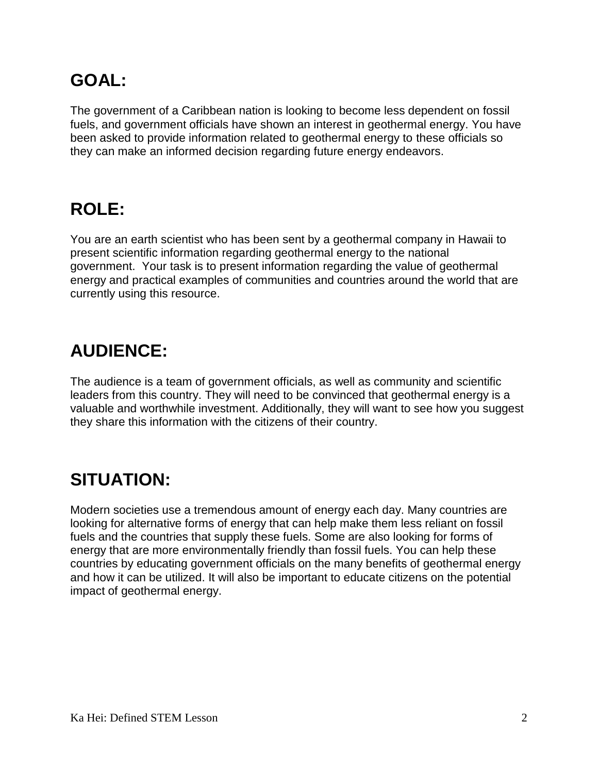# **GOAL:**

The government of a Caribbean nation is looking to become less dependent on fossil fuels, and government officials have shown an interest in geothermal energy. You have been asked to provide information related to geothermal energy to these officials so they can make an informed decision regarding future energy endeavors.

# **ROLE:**

You are an earth scientist who has been sent by a geothermal company in Hawaii to present scientific information regarding geothermal energy to the national government. Your task is to present information regarding the value of geothermal energy and practical examples of communities and countries around the world that are currently using this resource.

# **AUDIENCE:**

The audience is a team of government officials, as well as community and scientific leaders from this country. They will need to be convinced that geothermal energy is a valuable and worthwhile investment. Additionally, they will want to see how you suggest they share this information with the citizens of their country.

# **SITUATION:**

Modern societies use a tremendous amount of energy each day. Many countries are looking for alternative forms of energy that can help make them less reliant on fossil fuels and the countries that supply these fuels. Some are also looking for forms of energy that are more environmentally friendly than fossil fuels. You can help these countries by educating government officials on the many benefits of geothermal energy and how it can be utilized. It will also be important to educate citizens on the potential impact of geothermal energy.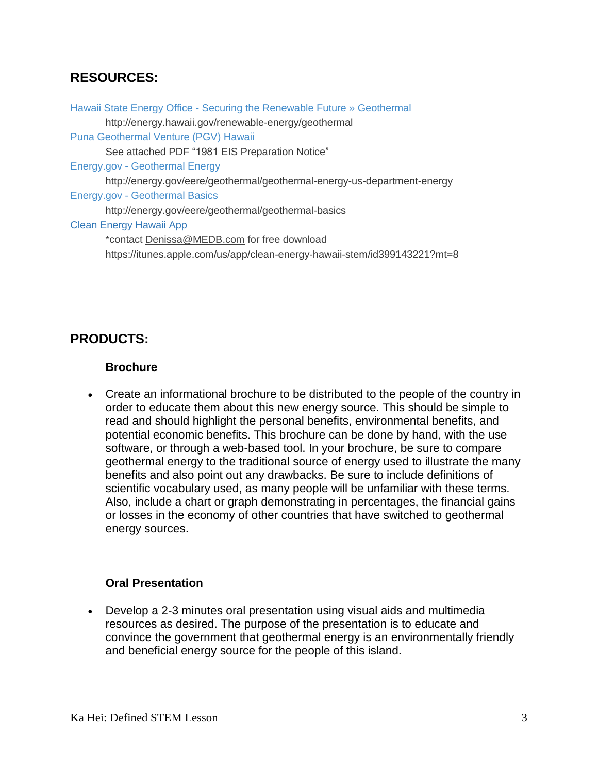#### **RESOURCES:**

Hawaii State Energy Office - Securing the Renewable Future » [Geothermal](http://energy.hawaii.gov/renewable-energy/geothermal) http://energy.hawaii.gov/renewable-energy/geothermal Puna [Geothermal](http://www.ormat.com/case-studies/puna-geothermal-venture-hawaii) Venture (PGV) Hawaii See attached PDF "1981 EIS Preparation Notice" Energy.gov - [Geothermal](http://energy.gov/eere/geothermal/geothermal-energy-us-department-energy) Energy http://energy.gov/eere/geothermal/geothermal-energy-us-department-energy Energy.gov - [Geothermal](http://energy.gov/eere/geothermal/geothermal-basics) Basics http://energy.gov/eere/geothermal/geothermal-basics Clean Energy Hawaii App \*contact [Denissa@MEDB.com](mailto:Denissa@MEDB.com) for free download https://itunes.apple.com/us/app/clean-energy-hawaii-stem/id399143221?mt=8

#### **PRODUCTS:**

#### **Brochure**

 Create an informational brochure to be distributed to the people of the country in order to educate them about this new energy source. This should be simple to read and should highlight the personal benefits, environmental benefits, and potential economic benefits. This brochure can be done by hand, with the use software, or through a web-based tool. In your brochure, be sure to compare geothermal energy to the traditional source of energy used to illustrate the many benefits and also point out any drawbacks. Be sure to include definitions of scientific vocabulary used, as many people will be unfamiliar with these terms. Also, include a chart or graph demonstrating in percentages, the financial gains or losses in the economy of other countries that have switched to geothermal energy sources.

#### **Oral Presentation**

 Develop a 2-3 minutes oral presentation using visual aids and multimedia resources as desired. The purpose of the presentation is to educate and convince the government that geothermal energy is an environmentally friendly and beneficial energy source for the people of this island.